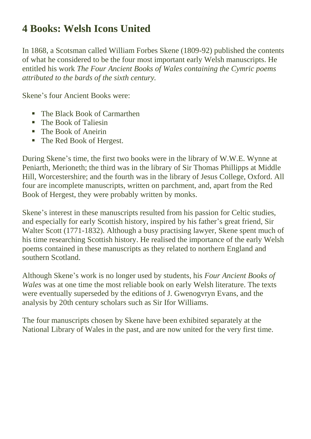### **4 Books: Welsh Icons United**

In 1868, a Scotsman called William Forbes Skene (1809-92) published the contents of what he considered to be the four most important early Welsh manuscripts. He entitled his work *The Four Ancient Books of Wales containing the Cymric poems attributed to the bards of the sixth century.*

Skene's four Ancient Books were:

- The Black Book of Carmarthen
- The Book of Taliesin
- The Book of Aneirin
- The Red Book of Hergest.

During Skene's time, the first two books were in the library of W.W.E. Wynne at Peniarth, Merioneth; the third was in the library of Sir Thomas Phillipps at Middle Hill, Worcestershire; and the fourth was in the library of Jesus College, Oxford. All four are incomplete manuscripts, written on parchment, and, apart from the Red Book of Hergest, they were probably written by monks.

Skene's interest in these manuscripts resulted from his passion for Celtic studies, and especially for early Scottish history, inspired by his father's great friend, Sir Walter Scott (1771-1832). Although a busy practising lawyer, Skene spent much of his time researching Scottish history. He realised the importance of the early Welsh poems contained in these manuscripts as they related to northern England and southern Scotland.

Although Skene's work is no longer used by students, his *Four Ancient Books of Wales* was at one time the most reliable book on early Welsh literature. The texts were eventually superseded by the editions of J. Gwenogvryn Evans, and the analysis by 20th century scholars such as Sir Ifor Williams.

The four manuscripts chosen by Skene have been exhibited separately at the National Library of Wales in the past, and are now united for the very first time.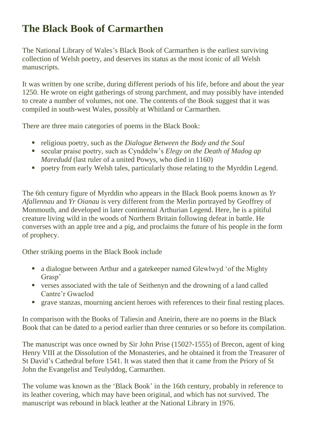# **The Black Book of Carmarthen**

The National Library of Wales's Black Book of Carmarthen is the earliest surviving collection of Welsh poetry, and deserves its status as the most iconic of all Welsh manuscripts.

It was written by one scribe, during different periods of his life, before and about the year 1250. He wrote on eight gatherings of strong parchment, and may possibly have intended to create a number of volumes, not one. The contents of the Book suggest that it was compiled in south-west Wales, possibly at Whitland or Carmarthen.

There are three main categories of poems in the Black Book:

- religious poetry, such as the *Dialogue Between the Body and the Soul*
- secular praise poetry, such as Cynddelw's *Elegy on the Death of Madog ap Maredudd* (last ruler of a united Powys, who died in 1160)
- **•** poetry from early Welsh tales, particularly those relating to the Myrddin Legend.

The 6th century figure of Myrddin who appears in the Black Book poems known as *Yr Afallennau* and *Yr Oianau* is very different from the Merlin portrayed by Geoffrey of Monmouth, and developed in later continental Arthurian Legend. Here, he is a pitiful creature living wild in the woods of Northern Britain following defeat in battle. He converses with an apple tree and a pig, and proclaims the future of his people in the form of prophecy.

Other striking poems in the Black Book include

- a dialogue between Arthur and a gatekeeper named Glewlwyd 'of the Mighty Grasp'
- verses associated with the tale of Seithenyn and the drowning of a land called Cantre'r Gwaelod
- **The stanzas, mourning ancient heroes with references to their final resting places.**

In comparison with the Books of Taliesin and Aneirin, there are no poems in the Black Book that can be dated to a period earlier than three centuries or so before its compilation.

The manuscript was once owned by Sir John Prise (1502?-1555) of Brecon, agent of king Henry VIII at the Dissolution of the Monasteries, and he obtained it from the Treasurer of St David's Cathedral before 1541. It was stated then that it came from the Priory of St John the Evangelist and Teulyddog, Carmarthen.

The volume was known as the 'Black Book' in the 16th century, probably in reference to its leather covering, which may have been original, and which has not survived. The manuscript was rebound in black leather at the National Library in 1976.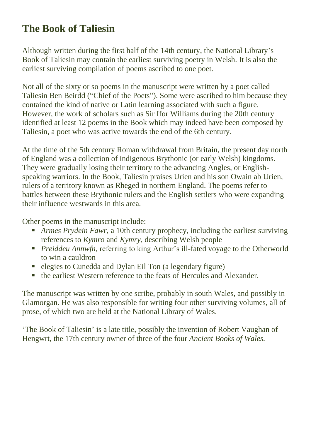## **The Book of Taliesin**

Although written during the first half of the 14th century, the National Library's Book of Taliesin may contain the earliest surviving poetry in Welsh. It is also the earliest surviving compilation of poems ascribed to one poet.

Not all of the sixty or so poems in the manuscript were written by a poet called Taliesin Ben Beirdd ("Chief of the Poets"). Some were ascribed to him because they contained the kind of native or Latin learning associated with such a figure. However, the work of scholars such as Sir Ifor Williams during the 20th century identified at least 12 poems in the Book which may indeed have been composed by Taliesin, a poet who was active towards the end of the 6th century.

At the time of the 5th century Roman withdrawal from Britain, the present day north of England was a collection of indigenous Brythonic (or early Welsh) kingdoms. They were gradually losing their territory to the advancing Angles, or Englishspeaking warriors. In the Book, Taliesin praises Urien and his son Owain ab Urien, rulers of a territory known as Rheged in northern England. The poems refer to battles between these Brythonic rulers and the English settlers who were expanding their influence westwards in this area.

Other poems in the manuscript include:

- *Armes Prydein Fawr,* a 10th century prophecy, including the earliest surviving references to *Kymro* and *Kymry*, describing Welsh people
- *Preiddeu Annwfn,* referring to king Arthur's ill-fated voyage to the Otherworld to win a cauldron
- elegies to Cunedda and Dylan Eil Ton (a legendary figure)
- the earliest Western reference to the feats of Hercules and Alexander.

The manuscript was written by one scribe, probably in south Wales, and possibly in Glamorgan. He was also responsible for writing four other surviving volumes, all of prose, of which two are held at the National Library of Wales.

'The Book of Taliesin' is a late title, possibly the invention of Robert Vaughan of Hengwrt, the 17th century owner of three of the four *Ancient Books of Wales.*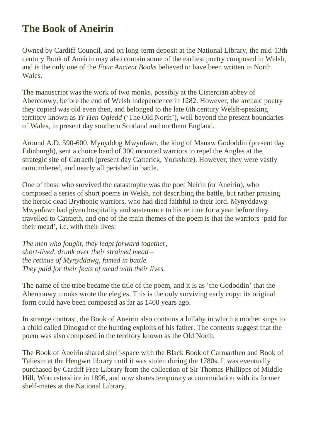#### **The Book of Aneirin**

Owned by Cardiff Council, and on long-term deposit at the National Library, the mid-13th century Book of Aneirin may also contain some of the earliest poetry composed in Welsh, and is the only one of the *Four Ancient Books* believed to have been written in North Wales.

The manuscript was the work of two monks, possibly at the Cistercian abbey of Aberconwy, before the end of Welsh independence in 1282. However, the archaic poetry they copied was old even then, and belonged to the late 6th century Welsh-speaking territory known as *Yr Hen Ogledd* ('The Old North'), well beyond the present boundaries of Wales, in present day southern Scotland and northern England.

Around A.D. 590-600, Mynyddog Mwynfawr, the king of Manaw Gododdin (present day Edinburgh), sent a choice band of 300 mounted warriors to repel the Angles at the strategic site of Catraeth (present day Catterick, Yorkshire). However, they were vastly outnumbered, and nearly all perished in battle.

One of those who survived the catastrophe was the poet Neirin (or Aneirin), who composed a series of short poems in Welsh, not describing the battle, but rather praising the heroic dead Brythonic warriors, who had died faithful to their lord. Mynyddawg Mwynfawr had given hospitality and sustenance to his retinue for a year before they travelled to Catraeth, and one of the main themes of the poem is that the warriors 'paid for their mead', i.e. with their lives:

*The men who fought, they leapt forward together, short-lived, drunk over their strained mead – the retinue of Mynyddawg, famed in battle. They paid for their feats of mead with their lives.*

The name of the tribe became the title of the poem, and it is as 'the Gododdin' that the Aberconwy monks wrote the elegies. This is the only surviving early copy; its original form could have been composed as far as 1400 years ago.

In strange contrast, the Book of Aneirin also contains a lullaby in which a mother sings to a child called Dinogad of the hunting exploits of his father. The contents suggest that the poem was also composed in the territory known as the Old North.

The Book of Aneirin shared shelf-space with the Black Book of Carmarthen and Book of Taliesin at the Hengwrt library until it was stolen during the 1780s. It was eventually purchased by Cardiff Free Library from the collection of Sir Thomas Phillipps of Middle Hill, Worcestershire in 1896, and now shares temporary accommodation with its former shelf-mates at the National Library.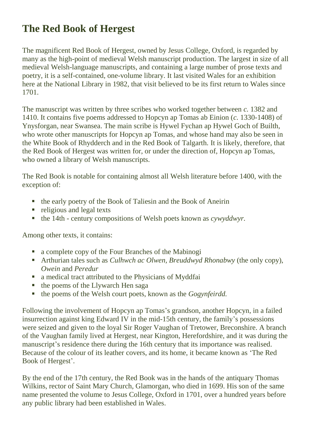# **The Red Book of Hergest**

The magnificent Red Book of Hergest, owned by Jesus College, Oxford, is regarded by many as the high-point of medieval Welsh manuscript production. The largest in size of all medieval Welsh-language manuscripts, and containing a large number of prose texts and poetry, it is a self-contained, one-volume library. It last visited Wales for an exhibition here at the National Library in 1982, that visit believed to be its first return to Wales since 1701.

The manuscript was written by three scribes who worked together between *c.* 1382 and 1410. It contains five poems addressed to Hopcyn ap Tomas ab Einion (*c.* 1330-1408) of Ynysforgan, near Swansea. The main scribe is Hywel Fychan ap Hywel Goch of Builth, who wrote other manuscripts for Hopcyn ap Tomas, and whose hand may also be seen in the White Book of Rhydderch and in the Red Book of Talgarth. It is likely, therefore, that the Red Book of Hergest was written for, or under the direction of, Hopcyn ap Tomas, who owned a library of Welsh manuscripts.

The Red Book is notable for containing almost all Welsh literature before 1400, with the exception of:

- the early poetry of the Book of Taliesin and the Book of Aneirin
- religious and legal texts
- the 14th century compositions of Welsh poets known as *cywyddwyr*.

Among other texts, it contains:

- a complete copy of the Four Branches of the Mabinogi
- Arthurian tales such as *Culhwch ac Olwen, Breuddwyd Rhonabwy* (the only copy), *Owein* and *Peredur*
- a medical tract attributed to the Physicians of Myddfai
- $\blacksquare$  the poems of the Llywarch Hen saga
- the poems of the Welsh court poets, known as the *Gogynfeirdd.*

Following the involvement of Hopcyn ap Tomas's grandson, another Hopcyn, in a failed insurrection against king Edward IV in the mid-15th century, the family's possessions were seized and given to the loyal Sir Roger Vaughan of Tretower, Breconshire. A branch of the Vaughan family lived at Hergest, near Kington, Herefordshire, and it was during the manuscript's residence there during the 16th century that its importance was realised. Because of the colour of its leather covers, and its home, it became known as 'The Red Book of Hergest'.

By the end of the 17th century, the Red Book was in the hands of the antiquary Thomas Wilkins, rector of Saint Mary Church, Glamorgan, who died in 1699. His son of the same name presented the volume to Jesus College, Oxford in 1701, over a hundred years before any public library had been established in Wales.